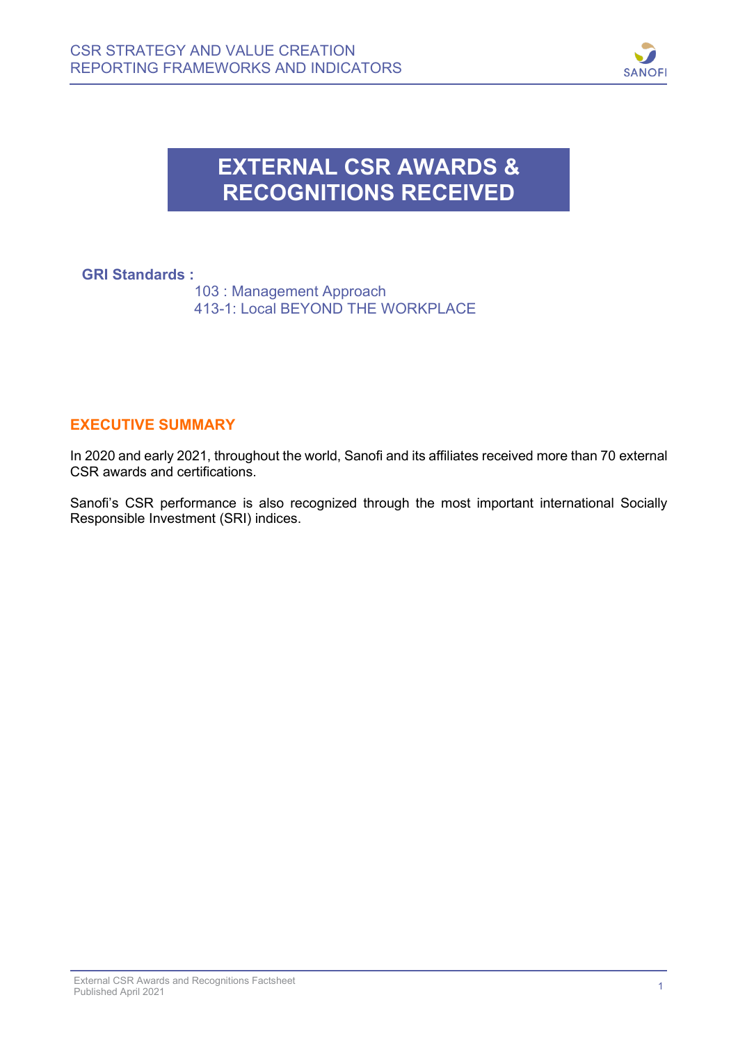

## **EXTERNAL CSR AWARDS & RECOGNITIONS RECEIVED**

## **GRI Standards :**

Ē

 103 : Management Approach 413-1: Local BEYOND THE WORKPLACE

## **EXECUTIVE SUMMARY**

In 2020 and early 2021, throughout the world, Sanofi and its affiliates received more than 70 external CSR awards and certifications.

Sanofi's CSR performance is also recognized through the most important international Socially Responsible Investment (SRI) indices.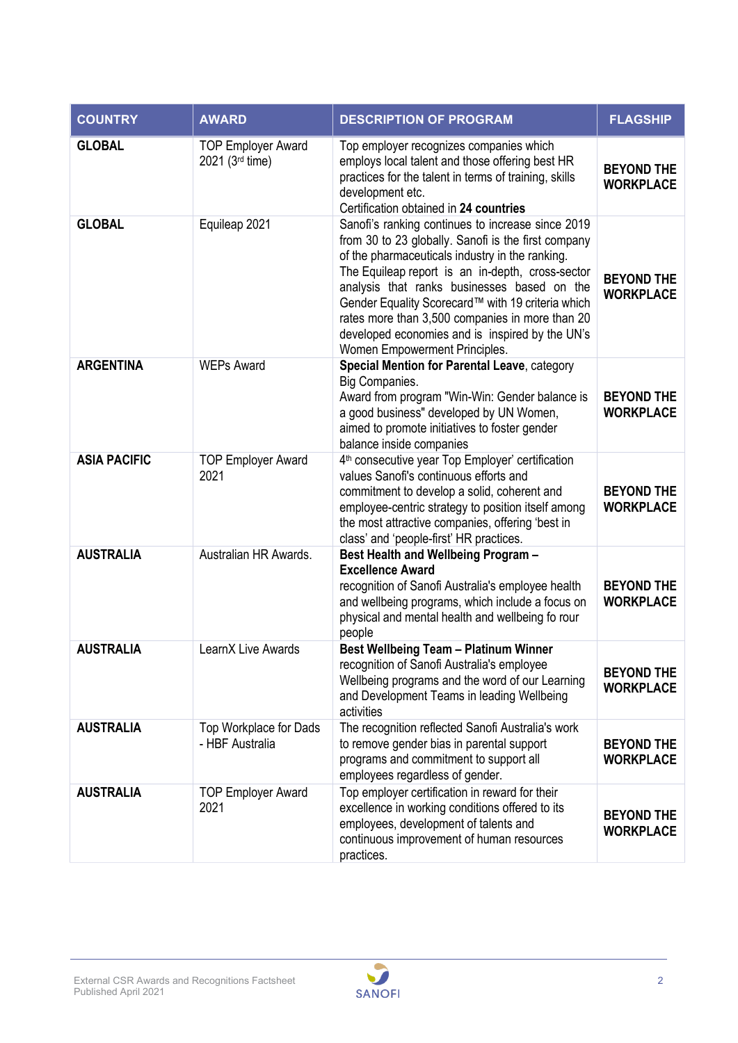| <b>COUNTRY</b>      | <b>AWARD</b>                                 | <b>DESCRIPTION OF PROGRAM</b>                                                                                                                                                                                                                                                                                                                                                                                                                              | <b>FLAGSHIP</b>                       |
|---------------------|----------------------------------------------|------------------------------------------------------------------------------------------------------------------------------------------------------------------------------------------------------------------------------------------------------------------------------------------------------------------------------------------------------------------------------------------------------------------------------------------------------------|---------------------------------------|
| <b>GLOBAL</b>       | <b>TOP Employer Award</b><br>2021 (3rd time) | Top employer recognizes companies which<br>employs local talent and those offering best HR<br>practices for the talent in terms of training, skills<br>development etc.<br>Certification obtained in 24 countries                                                                                                                                                                                                                                          | <b>BEYOND THE</b><br><b>WORKPLACE</b> |
| <b>GLOBAL</b>       | Equileap 2021                                | Sanofi's ranking continues to increase since 2019<br>from 30 to 23 globally. Sanofi is the first company<br>of the pharmaceuticals industry in the ranking.<br>The Equileap report is an in-depth, cross-sector<br>analysis that ranks businesses based on the<br>Gender Equality Scorecard™ with 19 criteria which<br>rates more than 3,500 companies in more than 20<br>developed economies and is inspired by the UN's<br>Women Empowerment Principles. | <b>BEYOND THE</b><br><b>WORKPLACE</b> |
| <b>ARGENTINA</b>    | <b>WEPs Award</b>                            | Special Mention for Parental Leave, category<br>Big Companies.<br>Award from program "Win-Win: Gender balance is<br>a good business" developed by UN Women,<br>aimed to promote initiatives to foster gender<br>balance inside companies                                                                                                                                                                                                                   | <b>BEYOND THE</b><br><b>WORKPLACE</b> |
| <b>ASIA PACIFIC</b> | <b>TOP Employer Award</b><br>2021            | 4 <sup>th</sup> consecutive year Top Employer' certification<br>values Sanofi's continuous efforts and<br>commitment to develop a solid, coherent and<br>employee-centric strategy to position itself among<br>the most attractive companies, offering 'best in<br>class' and 'people-first' HR practices.                                                                                                                                                 | <b>BEYOND THE</b><br><b>WORKPLACE</b> |
| <b>AUSTRALIA</b>    | Australian HR Awards.                        | Best Health and Wellbeing Program -<br><b>Excellence Award</b><br>recognition of Sanofi Australia's employee health<br>and wellbeing programs, which include a focus on<br>physical and mental health and wellbeing fo rour<br>people                                                                                                                                                                                                                      | <b>BEYOND THE</b><br><b>WORKPLACE</b> |
| <b>AUSTRALIA</b>    | LearnX Live Awards                           | <b>Best Wellbeing Team - Platinum Winner</b><br>recognition of Sanofi Australia's employee<br>Wellbeing programs and the word of our Learning<br>and Development Teams in leading Wellbeing<br>activities                                                                                                                                                                                                                                                  | <b>BEYOND THE</b><br><b>WORKPLACE</b> |
| <b>AUSTRALIA</b>    | Top Workplace for Dads<br>- HBF Australia    | The recognition reflected Sanofi Australia's work<br>to remove gender bias in parental support<br>programs and commitment to support all<br>employees regardless of gender.                                                                                                                                                                                                                                                                                | <b>BEYOND THE</b><br><b>WORKPLACE</b> |
| <b>AUSTRALIA</b>    | <b>TOP Employer Award</b><br>2021            | Top employer certification in reward for their<br>excellence in working conditions offered to its<br>employees, development of talents and<br>continuous improvement of human resources<br>practices.                                                                                                                                                                                                                                                      | <b>BEYOND THE</b><br><b>WORKPLACE</b> |

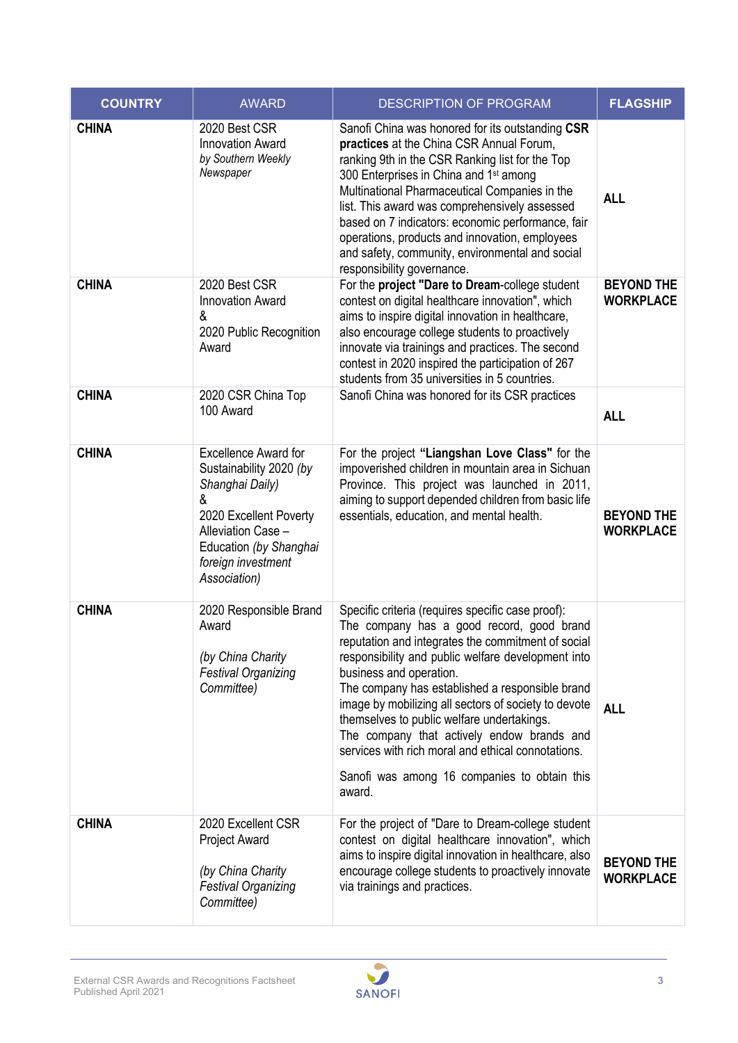| <b>COUNTRY</b> | <b>AWARD</b>                                                                                                                                                                                   | <b>DESCRIPTION OF PROGRAM</b>                                                                                                                                                                                                                                                                                                                                                                                                                                                                                                                                | <b>FLAGSHIP</b>                       |
|----------------|------------------------------------------------------------------------------------------------------------------------------------------------------------------------------------------------|--------------------------------------------------------------------------------------------------------------------------------------------------------------------------------------------------------------------------------------------------------------------------------------------------------------------------------------------------------------------------------------------------------------------------------------------------------------------------------------------------------------------------------------------------------------|---------------------------------------|
| <b>CHINA</b>   | 2020 Best CSR<br><b>Innovation Award</b><br>by Southern Weekly<br>Newspaper                                                                                                                    | Sanofi China was honored for its outstanding CSR<br>practices at the China CSR Annual Forum,<br>ranking 9th in the CSR Ranking list for the Top<br>300 Enterprises in China and 1 <sup>st</sup> among<br>Multinational Pharmaceutical Companies in the<br>list. This award was comprehensively assessed<br>based on 7 indicators: economic performance, fair<br>operations, products and innovation, employees<br>and safety, community, environmental and social<br>responsibility governance.                                                              | <b>ALL</b>                            |
| <b>CHINA</b>   | 2020 Best CSR<br><b>Innovation Award</b><br>&<br>2020 Public Recognition<br>Award                                                                                                              | For the project "Dare to Dream-college student<br>contest on digital healthcare innovation", which<br>aims to inspire digital innovation in healthcare,<br>also encourage college students to proactively<br>innovate via trainings and practices. The second<br>contest in 2020 inspired the participation of 267<br>students from 35 universities in 5 countries.                                                                                                                                                                                          | <b>BEYOND THE</b><br><b>WORKPLACE</b> |
| <b>CHINA</b>   | 2020 CSR China Top<br>100 Award                                                                                                                                                                | Sanofi China was honored for its CSR practices                                                                                                                                                                                                                                                                                                                                                                                                                                                                                                               | <b>ALL</b>                            |
| <b>CHINA</b>   | <b>Excellence Award for</b><br>Sustainability 2020 (by<br>Shanghai Daily)<br>&<br>2020 Excellent Poverty<br>Alleviation Case -<br>Education (by Shanghai<br>foreign investment<br>Association) | For the project "Liangshan Love Class" for the<br>impoverished children in mountain area in Sichuan<br>Province. This project was launched in 2011,<br>aiming to support depended children from basic life<br>essentials, education, and mental health.                                                                                                                                                                                                                                                                                                      | <b>BEYOND THE</b><br><b>WORKPLACE</b> |
| <b>CHINA</b>   | 2020 Responsible Brand<br>Award<br>(by China Charity<br><b>Festival Organizing</b><br>Committee)                                                                                               | Specific criteria (requires specific case proof):<br>The company has a good record, good brand<br>reputation and integrates the commitment of social<br>responsibility and public welfare development into<br>business and operation.<br>The company has established a responsible brand<br>image by mobilizing all sectors of society to devote<br>themselves to public welfare undertakings.<br>The company that actively endow brands and<br>services with rich moral and ethical connotations.<br>Sanofi was among 16 companies to obtain this<br>award. | <b>ALL</b>                            |
| <b>CHINA</b>   | 2020 Excellent CSR<br><b>Project Award</b><br>(by China Charity<br><b>Festival Organizing</b><br>Committee)                                                                                    | For the project of "Dare to Dream-college student<br>contest on digital healthcare innovation", which<br>aims to inspire digital innovation in healthcare, also<br>encourage college students to proactively innovate<br>via trainings and practices.                                                                                                                                                                                                                                                                                                        | <b>BEYOND THE</b><br><b>WORKPLACE</b> |

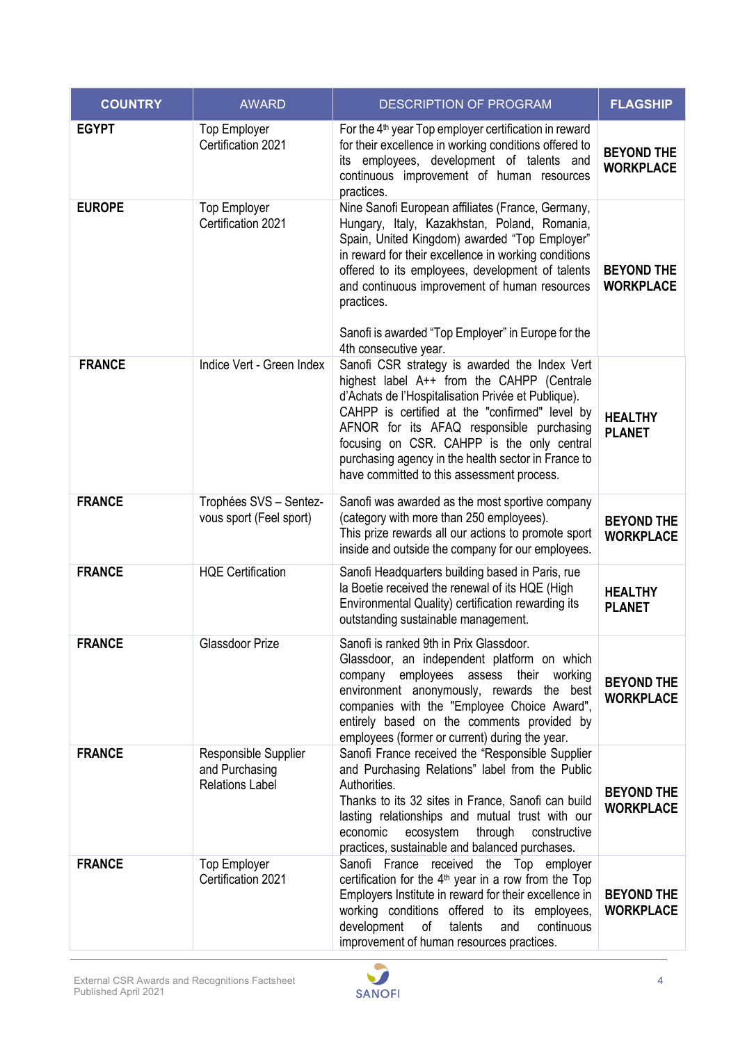| <b>COUNTRY</b> | <b>AWARD</b>                                                     | <b>DESCRIPTION OF PROGRAM</b>                                                                                                                                                                                                                                                                                                                                                                                | <b>FLAGSHIP</b>                       |
|----------------|------------------------------------------------------------------|--------------------------------------------------------------------------------------------------------------------------------------------------------------------------------------------------------------------------------------------------------------------------------------------------------------------------------------------------------------------------------------------------------------|---------------------------------------|
| <b>EGYPT</b>   | <b>Top Employer</b><br>Certification 2021                        | For the 4 <sup>th</sup> year Top employer certification in reward<br>for their excellence in working conditions offered to<br>its employees, development of talents and<br>continuous improvement of human resources<br>practices.                                                                                                                                                                           | <b>BEYOND THE</b><br><b>WORKPLACE</b> |
| <b>EUROPE</b>  | <b>Top Employer</b><br>Certification 2021                        | Nine Sanofi European affiliates (France, Germany,<br>Hungary, Italy, Kazakhstan, Poland, Romania,<br>Spain, United Kingdom) awarded "Top Employer"<br>in reward for their excellence in working conditions<br>offered to its employees, development of talents<br>and continuous improvement of human resources<br>practices.<br>Sanofi is awarded "Top Employer" in Europe for the<br>4th consecutive year. | <b>BEYOND THE</b><br><b>WORKPLACE</b> |
| <b>FRANCE</b>  | Indice Vert - Green Index                                        | Sanofi CSR strategy is awarded the Index Vert<br>highest label A++ from the CAHPP (Centrale<br>d'Achats de l'Hospitalisation Privée et Publique).<br>CAHPP is certified at the "confirmed" level by<br>AFNOR for its AFAQ responsible purchasing<br>focusing on CSR. CAHPP is the only central<br>purchasing agency in the health sector in France to<br>have committed to this assessment process.          | <b>HEALTHY</b><br><b>PLANET</b>       |
| <b>FRANCE</b>  | Trophées SVS - Sentez-<br>vous sport (Feel sport)                | Sanofi was awarded as the most sportive company<br>(category with more than 250 employees).<br>This prize rewards all our actions to promote sport<br>inside and outside the company for our employees.                                                                                                                                                                                                      | <b>BEYOND THE</b><br><b>WORKPLACE</b> |
| <b>FRANCE</b>  | <b>HQE Certification</b>                                         | Sanofi Headquarters building based in Paris, rue<br>la Boetie received the renewal of its HQE (High<br>Environmental Quality) certification rewarding its<br>outstanding sustainable management.                                                                                                                                                                                                             | <b>HEALTHY</b><br><b>PLANET</b>       |
| <b>FRANCE</b>  | Glassdoor Prize                                                  | Sanofi is ranked 9th in Prix Glassdoor.<br>Glassdoor, an independent platform on which<br>company employees assess their working<br>environment anonymously, rewards the best<br>companies with the "Employee Choice Award",<br>entirely based on the comments provided by<br>employees (former or current) during the year.                                                                                 | <b>BEYOND THE</b><br><b>WORKPLACE</b> |
| <b>FRANCE</b>  | Responsible Supplier<br>and Purchasing<br><b>Relations Label</b> | Sanofi France received the "Responsible Supplier<br>and Purchasing Relations" label from the Public<br>Authorities.<br>Thanks to its 32 sites in France, Sanofi can build<br>lasting relationships and mutual trust with our<br>economic<br>ecosystem<br>through<br>constructive<br>practices, sustainable and balanced purchases.                                                                           | <b>BEYOND THE</b><br><b>WORKPLACE</b> |
| <b>FRANCE</b>  | <b>Top Employer</b><br>Certification 2021                        | Sanofi France received the Top employer<br>certification for the $4th$ year in a row from the Top<br>Employers Institute in reward for their excellence in<br>working conditions offered to its employees,<br>development<br>of<br>talents<br>and<br>continuous<br>improvement of human resources practices.                                                                                                 | <b>BEYOND THE</b><br><b>WORKPLACE</b> |

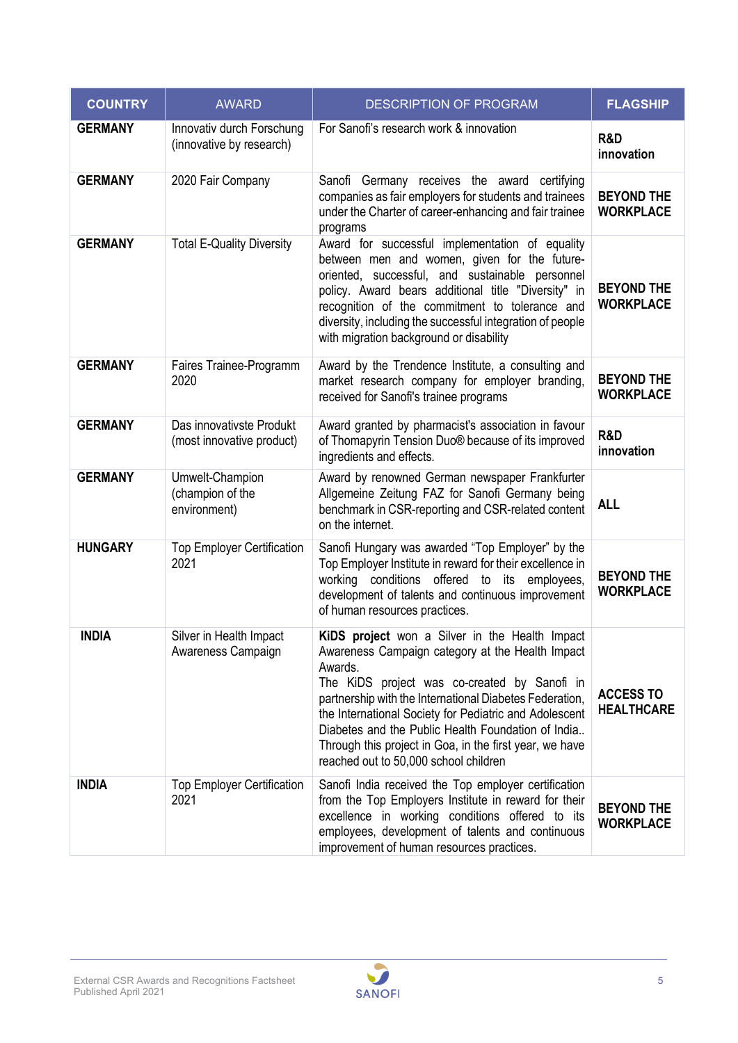| <b>COUNTRY</b> | <b>AWARD</b>                                          | <b>DESCRIPTION OF PROGRAM</b>                                                                                                                                                                                                                                                                                                                                                                                                                | <b>FLAGSHIP</b>                       |
|----------------|-------------------------------------------------------|----------------------------------------------------------------------------------------------------------------------------------------------------------------------------------------------------------------------------------------------------------------------------------------------------------------------------------------------------------------------------------------------------------------------------------------------|---------------------------------------|
| <b>GERMANY</b> | Innovativ durch Forschung<br>(innovative by research) | For Sanofi's research work & innovation                                                                                                                                                                                                                                                                                                                                                                                                      | R&D<br>innovation                     |
| <b>GERMANY</b> | 2020 Fair Company                                     | Sanofi Germany receives the award certifying<br>companies as fair employers for students and trainees<br>under the Charter of career-enhancing and fair trainee<br>programs                                                                                                                                                                                                                                                                  | <b>BEYOND THE</b><br><b>WORKPLACE</b> |
| <b>GERMANY</b> | <b>Total E-Quality Diversity</b>                      | Award for successful implementation of equality<br>between men and women, given for the future-<br>oriented, successful, and sustainable personnel<br>policy. Award bears additional title "Diversity" in<br>recognition of the commitment to tolerance and<br>diversity, including the successful integration of people<br>with migration background or disability                                                                          | <b>BEYOND THE</b><br><b>WORKPLACE</b> |
| <b>GERMANY</b> | Faires Trainee-Programm<br>2020                       | Award by the Trendence Institute, a consulting and<br>market research company for employer branding,<br>received for Sanofi's trainee programs                                                                                                                                                                                                                                                                                               | <b>BEYOND THE</b><br><b>WORKPLACE</b> |
| <b>GERMANY</b> | Das innovativste Produkt<br>(most innovative product) | Award granted by pharmacist's association in favour<br>of Thomapyrin Tension Duo® because of its improved<br>ingredients and effects.                                                                                                                                                                                                                                                                                                        | R&D<br>innovation                     |
| <b>GERMANY</b> | Umwelt-Champion<br>(champion of the<br>environment)   | Award by renowned German newspaper Frankfurter<br>Allgemeine Zeitung FAZ for Sanofi Germany being<br>benchmark in CSR-reporting and CSR-related content<br>on the internet.                                                                                                                                                                                                                                                                  | <b>ALL</b>                            |
| <b>HUNGARY</b> | <b>Top Employer Certification</b><br>2021             | Sanofi Hungary was awarded "Top Employer" by the<br>Top Employer Institute in reward for their excellence in<br>working conditions offered to its employees,<br>development of talents and continuous improvement<br>of human resources practices.                                                                                                                                                                                           | <b>BEYOND THE</b><br><b>WORKPLACE</b> |
| <b>INDIA</b>   | Silver in Health Impact<br>Awareness Campaign         | KiDS project won a Silver in the Health Impact<br>Awareness Campaign category at the Health Impact<br>Awards.<br>The KiDS project was co-created by Sanofi in<br>partnership with the International Diabetes Federation,<br>the International Society for Pediatric and Adolescent<br>Diabetes and the Public Health Foundation of India<br>Through this project in Goa, in the first year, we have<br>reached out to 50,000 school children | <b>ACCESS TO</b><br><b>HEALTHCARE</b> |
| <b>INDIA</b>   | <b>Top Employer Certification</b><br>2021             | Sanofi India received the Top employer certification<br>from the Top Employers Institute in reward for their<br>excellence in working conditions offered to its<br>employees, development of talents and continuous<br>improvement of human resources practices.                                                                                                                                                                             | <b>BEYOND THE</b><br><b>WORKPLACE</b> |

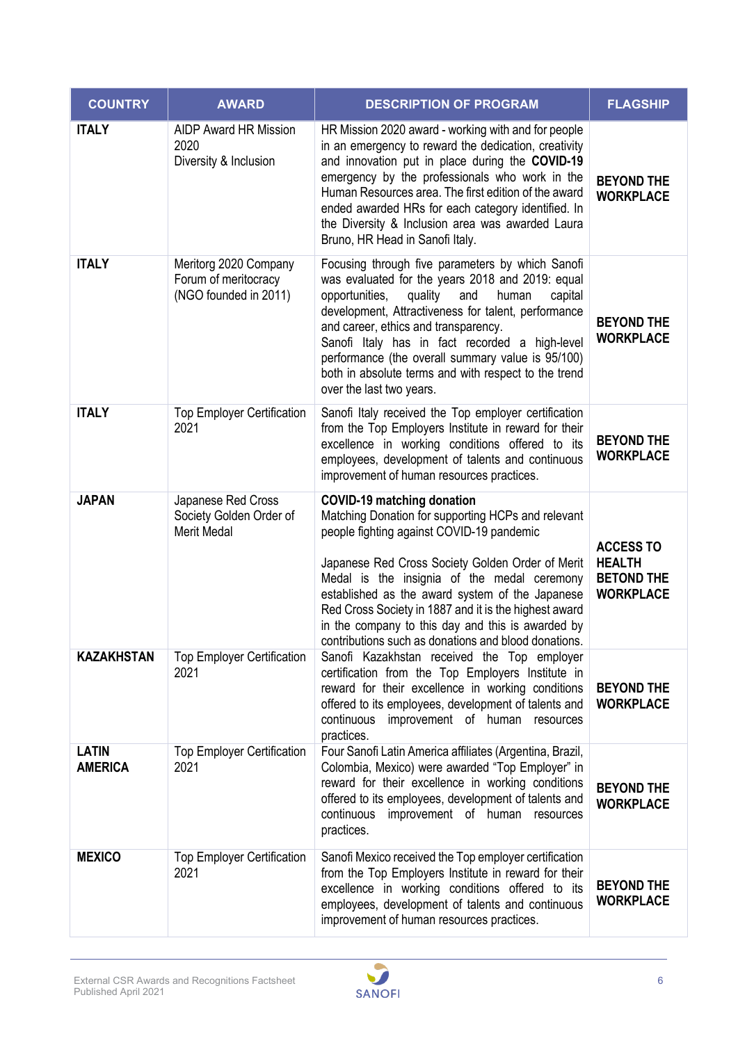| <b>COUNTRY</b>                 | <b>AWARD</b>                                                           | <b>DESCRIPTION OF PROGRAM</b>                                                                                                                                                                                                                                                                                                                                                                                                                                    | <b>FLAGSHIP</b>                                                            |
|--------------------------------|------------------------------------------------------------------------|------------------------------------------------------------------------------------------------------------------------------------------------------------------------------------------------------------------------------------------------------------------------------------------------------------------------------------------------------------------------------------------------------------------------------------------------------------------|----------------------------------------------------------------------------|
| <b>ITALY</b>                   | <b>AIDP Award HR Mission</b><br>2020<br>Diversity & Inclusion          | HR Mission 2020 award - working with and for people<br>in an emergency to reward the dedication, creativity<br>and innovation put in place during the COVID-19<br>emergency by the professionals who work in the<br>Human Resources area. The first edition of the award<br>ended awarded HRs for each category identified. In<br>the Diversity & Inclusion area was awarded Laura<br>Bruno, HR Head in Sanofi Italy.                                            | <b>BEYOND THE</b><br><b>WORKPLACE</b>                                      |
| <b>ITALY</b>                   | Meritorg 2020 Company<br>Forum of meritocracy<br>(NGO founded in 2011) | Focusing through five parameters by which Sanofi<br>was evaluated for the years 2018 and 2019: equal<br>opportunities,<br>quality and<br>human<br>capital<br>development, Attractiveness for talent, performance<br>and career, ethics and transparency.<br>Sanofi Italy has in fact recorded a high-level<br>performance (the overall summary value is 95/100)<br>both in absolute terms and with respect to the trend<br>over the last two years.              | <b>BEYOND THE</b><br><b>WORKPLACE</b>                                      |
| <b>ITALY</b>                   | <b>Top Employer Certification</b><br>2021                              | Sanofi Italy received the Top employer certification<br>from the Top Employers Institute in reward for their<br>excellence in working conditions offered to its<br>employees, development of talents and continuous<br>improvement of human resources practices.                                                                                                                                                                                                 | <b>BEYOND THE</b><br><b>WORKPLACE</b>                                      |
| <b>JAPAN</b>                   | Japanese Red Cross<br>Society Golden Order of<br><b>Merit Medal</b>    | <b>COVID-19 matching donation</b><br>Matching Donation for supporting HCPs and relevant<br>people fighting against COVID-19 pandemic<br>Japanese Red Cross Society Golden Order of Merit<br>Medal is the insignia of the medal ceremony<br>established as the award system of the Japanese<br>Red Cross Society in 1887 and it is the highest award<br>in the company to this day and this is awarded by<br>contributions such as donations and blood donations. | <b>ACCESS TO</b><br><b>HEALTH</b><br><b>BETOND THE</b><br><b>WORKPLACE</b> |
| <b>KAZAKHSTAN</b>              | <b>Top Employer Certification</b><br>2021                              | Sanofi Kazakhstan received the Top employer<br>certification from the Top Employers Institute in<br>reward for their excellence in working conditions<br>offered to its employees, development of talents and<br>continuous improvement of human resources<br>practices.                                                                                                                                                                                         | <b>BEYOND THE</b><br><b>WORKPLACE</b>                                      |
| <b>LATIN</b><br><b>AMERICA</b> | <b>Top Employer Certification</b><br>2021                              | Four Sanofi Latin America affiliates (Argentina, Brazil,<br>Colombia, Mexico) were awarded "Top Employer" in<br>reward for their excellence in working conditions<br>offered to its employees, development of talents and<br>continuous improvement of human resources<br>practices.                                                                                                                                                                             | <b>BEYOND THE</b><br><b>WORKPLACE</b>                                      |
| <b>MEXICO</b>                  | <b>Top Employer Certification</b><br>2021                              | Sanofi Mexico received the Top employer certification<br>from the Top Employers Institute in reward for their<br>excellence in working conditions offered to its<br>employees, development of talents and continuous<br>improvement of human resources practices.                                                                                                                                                                                                | <b>BEYOND THE</b><br><b>WORKPLACE</b>                                      |

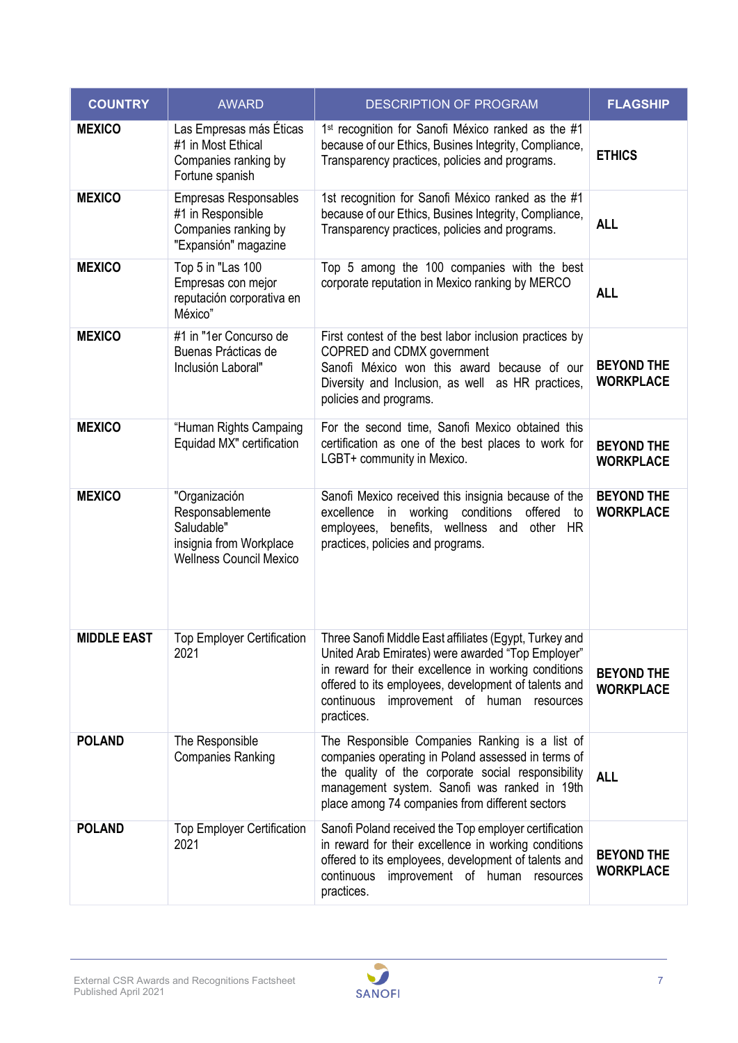| <b>COUNTRY</b>     | <b>AWARD</b>                                                                                                 | <b>DESCRIPTION OF PROGRAM</b>                                                                                                                                                                                                                                                          | <b>FLAGSHIP</b>                       |
|--------------------|--------------------------------------------------------------------------------------------------------------|----------------------------------------------------------------------------------------------------------------------------------------------------------------------------------------------------------------------------------------------------------------------------------------|---------------------------------------|
| <b>MEXICO</b>      | Las Empresas más Éticas<br>#1 in Most Ethical<br>Companies ranking by<br>Fortune spanish                     | 1st recognition for Sanofi México ranked as the #1<br>because of our Ethics, Busines Integrity, Compliance,<br>Transparency practices, policies and programs.                                                                                                                          | <b>ETHICS</b>                         |
| <b>MEXICO</b>      | <b>Empresas Responsables</b><br>#1 in Responsible<br>Companies ranking by<br>"Expansión" magazine            | 1st recognition for Sanofi México ranked as the #1<br>because of our Ethics, Busines Integrity, Compliance,<br>Transparency practices, policies and programs.                                                                                                                          | <b>ALL</b>                            |
| <b>MEXICO</b>      | Top 5 in "Las 100<br>Empresas con mejor<br>reputación corporativa en<br>México"                              | Top 5 among the 100 companies with the best<br>corporate reputation in Mexico ranking by MERCO                                                                                                                                                                                         | <b>ALL</b>                            |
| <b>MEXICO</b>      | #1 in "1er Concurso de<br>Buenas Prácticas de<br>Inclusión Laboral"                                          | First contest of the best labor inclusion practices by<br>COPRED and CDMX government<br>Sanofi México won this award because of our<br>Diversity and Inclusion, as well as HR practices,<br>policies and programs.                                                                     | <b>BEYOND THE</b><br><b>WORKPLACE</b> |
| <b>MEXICO</b>      | "Human Rights Campaing<br>Equidad MX" certification                                                          | For the second time, Sanofi Mexico obtained this<br>certification as one of the best places to work for<br>LGBT+ community in Mexico.                                                                                                                                                  | <b>BEYOND THE</b><br><b>WORKPLACE</b> |
| <b>MEXICO</b>      | "Organización<br>Responsablemente<br>Saludable"<br>insignia from Workplace<br><b>Wellness Council Mexico</b> | Sanofi Mexico received this insignia because of the<br>in working conditions<br>offered<br>excellence<br>to<br>benefits, wellness and<br>employees,<br>other HR<br>practices, policies and programs.                                                                                   | <b>BEYOND THE</b><br><b>WORKPLACE</b> |
| <b>MIDDLE EAST</b> | <b>Top Employer Certification</b><br>2021                                                                    | Three Sanofi Middle East affiliates (Egypt, Turkey and<br>United Arab Emirates) were awarded "Top Employer"<br>in reward for their excellence in working conditions<br>offered to its employees, development of talents and<br>continuous improvement of human resources<br>practices. | <b>BEYOND THE</b><br><b>WORKPLACE</b> |
| <b>POLAND</b>      | The Responsible<br><b>Companies Ranking</b>                                                                  | The Responsible Companies Ranking is a list of<br>companies operating in Poland assessed in terms of<br>the quality of the corporate social responsibility<br>management system. Sanofi was ranked in 19th<br>place among 74 companies from different sectors                          | <b>ALL</b>                            |
| <b>POLAND</b>      | <b>Top Employer Certification</b><br>2021                                                                    | Sanofi Poland received the Top employer certification<br>in reward for their excellence in working conditions<br>offered to its employees, development of talents and<br>continuous improvement of human resources<br>practices.                                                       | <b>BEYOND THE</b><br><b>WORKPLACE</b> |

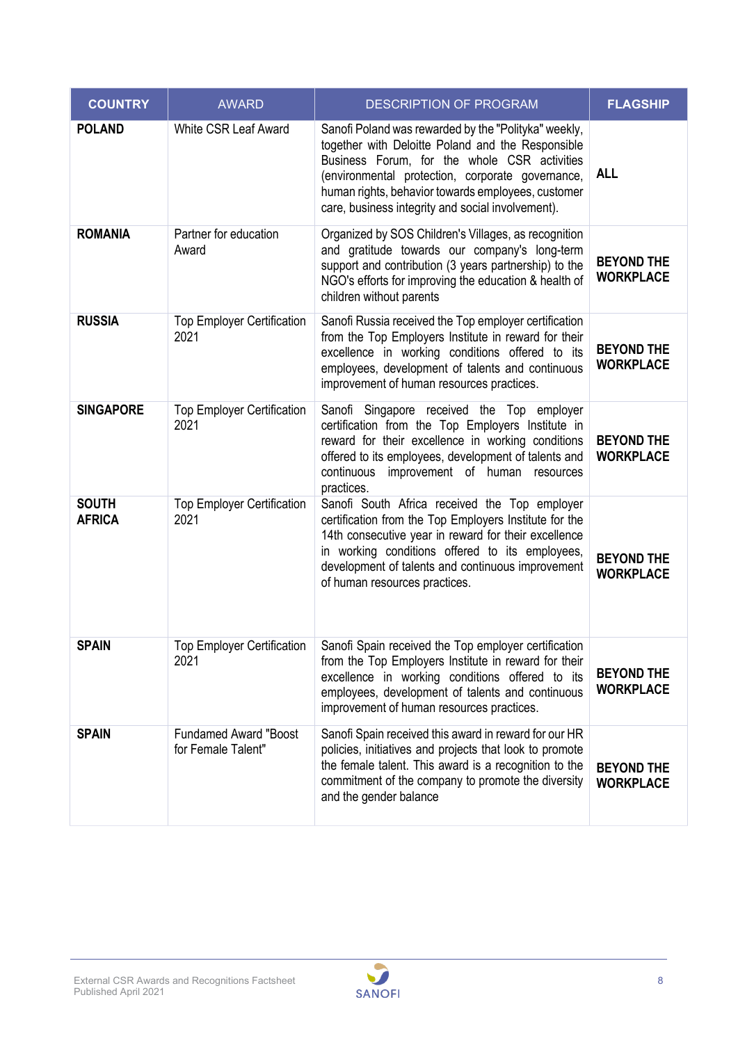| <b>COUNTRY</b>                | <b>AWARD</b>                                       | <b>DESCRIPTION OF PROGRAM</b>                                                                                                                                                                                                                                                                                            | <b>FLAGSHIP</b>                       |
|-------------------------------|----------------------------------------------------|--------------------------------------------------------------------------------------------------------------------------------------------------------------------------------------------------------------------------------------------------------------------------------------------------------------------------|---------------------------------------|
| <b>POLAND</b>                 | <b>White CSR Leaf Award</b>                        | Sanofi Poland was rewarded by the "Polityka" weekly,<br>together with Deloitte Poland and the Responsible<br>Business Forum, for the whole CSR activities<br>(environmental protection, corporate governance,<br>human rights, behavior towards employees, customer<br>care, business integrity and social involvement). | <b>ALL</b>                            |
| <b>ROMANIA</b>                | Partner for education<br>Award                     | Organized by SOS Children's Villages, as recognition<br>and gratitude towards our company's long-term<br>support and contribution (3 years partnership) to the<br>NGO's efforts for improving the education & health of<br>children without parents                                                                      | <b>BEYOND THE</b><br><b>WORKPLACE</b> |
| <b>RUSSIA</b>                 | <b>Top Employer Certification</b><br>2021          | Sanofi Russia received the Top employer certification<br>from the Top Employers Institute in reward for their<br>excellence in working conditions offered to its<br>employees, development of talents and continuous<br>improvement of human resources practices.                                                        | <b>BEYOND THE</b><br><b>WORKPLACE</b> |
| <b>SINGAPORE</b>              | <b>Top Employer Certification</b><br>2021          | Sanofi Singapore received the Top employer<br>certification from the Top Employers Institute in<br>reward for their excellence in working conditions<br>offered to its employees, development of talents and<br>continuous improvement of human resources<br>practices.                                                  | <b>BEYOND THE</b><br><b>WORKPLACE</b> |
| <b>SOUTH</b><br><b>AFRICA</b> | <b>Top Employer Certification</b><br>2021          | Sanofi South Africa received the Top employer<br>certification from the Top Employers Institute for the<br>14th consecutive year in reward for their excellence<br>in working conditions offered to its employees,<br>development of talents and continuous improvement<br>of human resources practices.                 | <b>BEYOND THE</b><br><b>WORKPLACE</b> |
| <b>SPAIN</b>                  | 2021                                               | Top Employer Certification   Sanofi Spain received the Top employer certification<br>from the Top Employers Institute in reward for their<br>excellence in working conditions offered to its<br>employees, development of talents and continuous<br>improvement of human resources practices.                            | <b>BEYOND THE</b><br><b>WORKPLACE</b> |
| <b>SPAIN</b>                  | <b>Fundamed Award "Boost</b><br>for Female Talent" | Sanofi Spain received this award in reward for our HR<br>policies, initiatives and projects that look to promote<br>the female talent. This award is a recognition to the<br>commitment of the company to promote the diversity<br>and the gender balance                                                                | <b>BEYOND THE</b><br><b>WORKPLACE</b> |

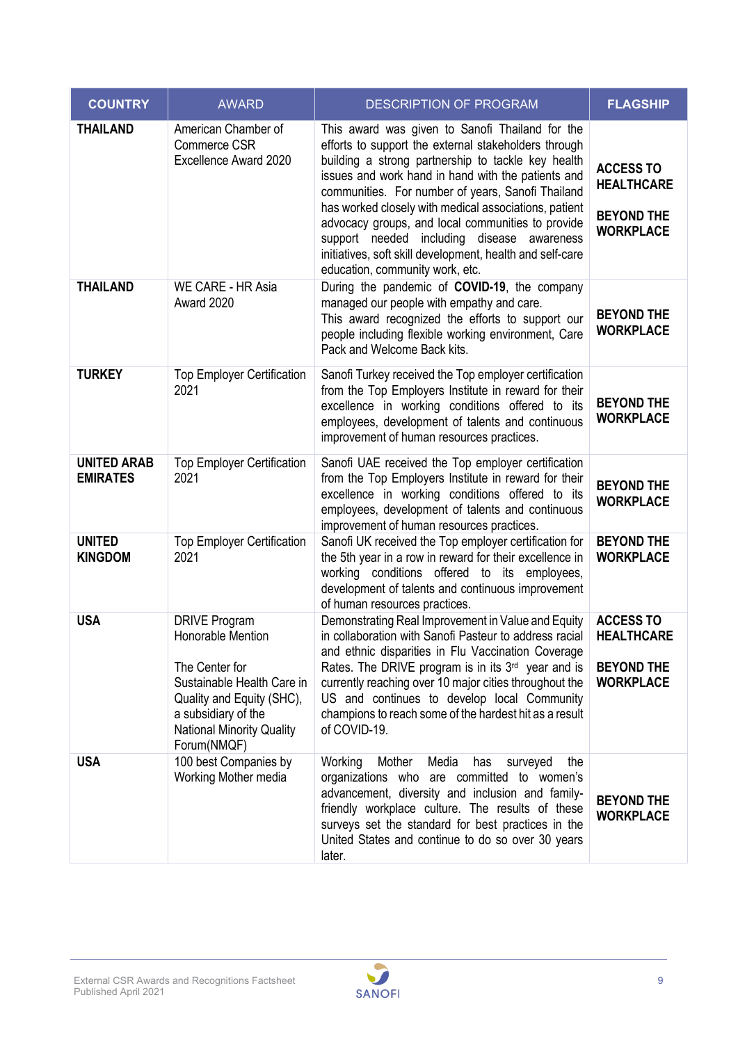| <b>COUNTRY</b>                        | <b>AWARD</b>                                                                                                                                                                                     | <b>DESCRIPTION OF PROGRAM</b>                                                                                                                                                                                                                                                                                                                                                                                                                                                                                                           | <b>FLAGSHIP</b>                                                                |
|---------------------------------------|--------------------------------------------------------------------------------------------------------------------------------------------------------------------------------------------------|-----------------------------------------------------------------------------------------------------------------------------------------------------------------------------------------------------------------------------------------------------------------------------------------------------------------------------------------------------------------------------------------------------------------------------------------------------------------------------------------------------------------------------------------|--------------------------------------------------------------------------------|
| <b>THAILAND</b>                       | American Chamber of<br>Commerce CSR<br>Excellence Award 2020                                                                                                                                     | This award was given to Sanofi Thailand for the<br>efforts to support the external stakeholders through<br>building a strong partnership to tackle key health<br>issues and work hand in hand with the patients and<br>communities. For number of years, Sanofi Thailand<br>has worked closely with medical associations, patient<br>advocacy groups, and local communities to provide<br>support needed<br>including disease awareness<br>initiatives, soft skill development, health and self-care<br>education, community work, etc. | <b>ACCESS TO</b><br><b>HEALTHCARE</b><br><b>BEYOND THE</b><br><b>WORKPLACE</b> |
| <b>THAILAND</b>                       | WE CARE - HR Asia<br>Award 2020                                                                                                                                                                  | During the pandemic of <b>COVID-19</b> , the company<br>managed our people with empathy and care.<br>This award recognized the efforts to support our<br>people including flexible working environment, Care<br>Pack and Welcome Back kits.                                                                                                                                                                                                                                                                                             | <b>BEYOND THE</b><br><b>WORKPLACE</b>                                          |
| <b>TURKEY</b>                         | <b>Top Employer Certification</b><br>2021                                                                                                                                                        | Sanofi Turkey received the Top employer certification<br>from the Top Employers Institute in reward for their<br>excellence in working conditions offered to its<br>employees, development of talents and continuous<br>improvement of human resources practices.                                                                                                                                                                                                                                                                       | <b>BEYOND THE</b><br><b>WORKPLACE</b>                                          |
| <b>UNITED ARAB</b><br><b>EMIRATES</b> | <b>Top Employer Certification</b><br>2021                                                                                                                                                        | Sanofi UAE received the Top employer certification<br>from the Top Employers Institute in reward for their<br>excellence in working conditions offered to its<br>employees, development of talents and continuous<br>improvement of human resources practices.                                                                                                                                                                                                                                                                          | <b>BEYOND THE</b><br><b>WORKPLACE</b>                                          |
| <b>UNITED</b><br><b>KINGDOM</b>       | <b>Top Employer Certification</b><br>2021                                                                                                                                                        | Sanofi UK received the Top employer certification for<br>the 5th year in a row in reward for their excellence in<br>working conditions offered to its employees,<br>development of talents and continuous improvement<br>of human resources practices.                                                                                                                                                                                                                                                                                  | <b>BEYOND THE</b><br><b>WORKPLACE</b>                                          |
| <b>USA</b>                            | <b>DRIVE Program</b><br>Honorable Mention<br>The Center for<br>Sustainable Health Care in<br>Quality and Equity (SHC),<br>a subsidiary of the<br><b>National Minority Quality</b><br>Forum(NMQF) | Demonstrating Real Improvement in Value and Equity<br>in collaboration with Sanofi Pasteur to address racial<br>and ethnic disparities in Flu Vaccination Coverage<br>Rates. The DRIVE program is in its $3rd$ year and is<br>currently reaching over 10 major cities throughout the<br>US and continues to develop local Community<br>champions to reach some of the hardest hit as a result<br>of COVID-19.                                                                                                                           | <b>ACCESS TO</b><br><b>HEALTHCARE</b><br><b>BEYOND THE</b><br><b>WORKPLACE</b> |
| <b>USA</b>                            | 100 best Companies by<br>Working Mother media                                                                                                                                                    | Working<br>Mother<br>Media<br>surveyed<br>the<br>has<br>organizations who are committed to women's<br>advancement, diversity and inclusion and family-<br>friendly workplace culture. The results of these<br>surveys set the standard for best practices in the<br>United States and continue to do so over 30 years<br>later.                                                                                                                                                                                                         | <b>BEYOND THE</b><br><b>WORKPLACE</b>                                          |

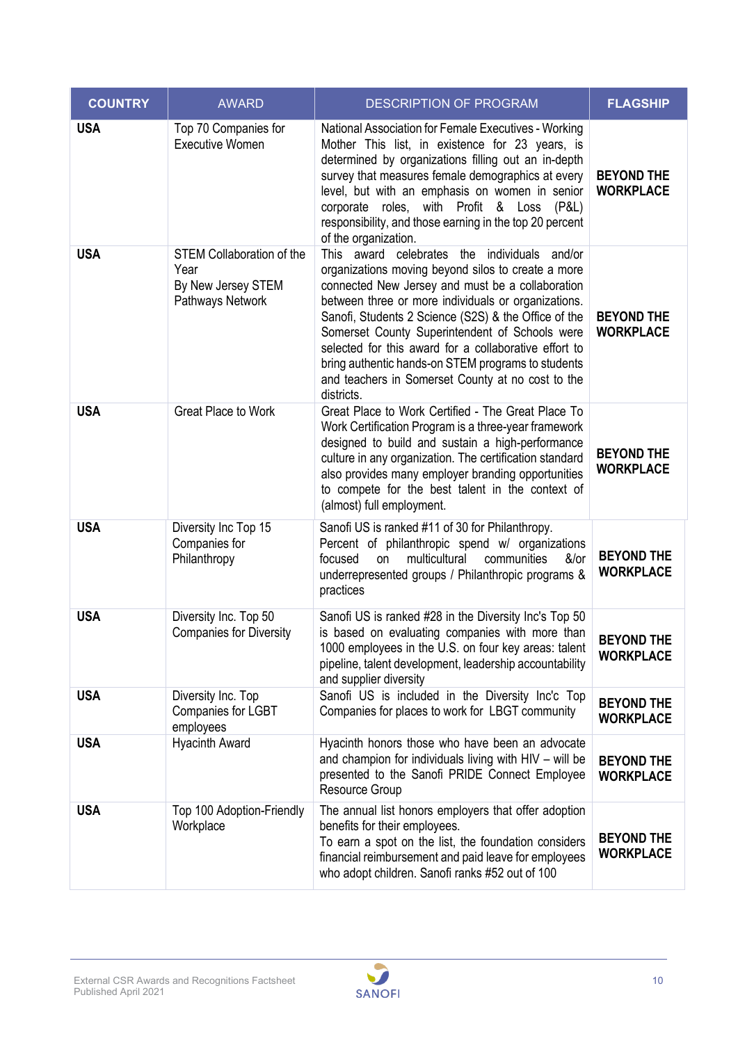| <b>COUNTRY</b> | <b>AWARD</b>                                                                       | <b>DESCRIPTION OF PROGRAM</b>                                                                                                                                                                                                                                                                                                                                                                                                                                                                             | <b>FLAGSHIP</b>                       |
|----------------|------------------------------------------------------------------------------------|-----------------------------------------------------------------------------------------------------------------------------------------------------------------------------------------------------------------------------------------------------------------------------------------------------------------------------------------------------------------------------------------------------------------------------------------------------------------------------------------------------------|---------------------------------------|
| <b>USA</b>     | Top 70 Companies for<br><b>Executive Women</b>                                     | National Association for Female Executives - Working<br>Mother This list, in existence for 23 years, is<br>determined by organizations filling out an in-depth<br>survey that measures female demographics at every<br>level, but with an emphasis on women in senior<br>corporate roles, with Profit & Loss (P&L)<br>responsibility, and those earning in the top 20 percent<br>of the organization.                                                                                                     | <b>BEYOND THE</b><br><b>WORKPLACE</b> |
| <b>USA</b>     | <b>STEM Collaboration of the</b><br>Year<br>By New Jersey STEM<br>Pathways Network | This award celebrates the individuals and/or<br>organizations moving beyond silos to create a more<br>connected New Jersey and must be a collaboration<br>between three or more individuals or organizations.<br>Sanofi, Students 2 Science (S2S) & the Office of the<br>Somerset County Superintendent of Schools were<br>selected for this award for a collaborative effort to<br>bring authentic hands-on STEM programs to students<br>and teachers in Somerset County at no cost to the<br>districts. | <b>BEYOND THE</b><br><b>WORKPLACE</b> |
| <b>USA</b>     | Great Place to Work                                                                | Great Place to Work Certified - The Great Place To<br>Work Certification Program is a three-year framework<br>designed to build and sustain a high-performance<br>culture in any organization. The certification standard<br>also provides many employer branding opportunities<br>to compete for the best talent in the context of<br>(almost) full employment.                                                                                                                                          | <b>BEYOND THE</b><br><b>WORKPLACE</b> |
| <b>USA</b>     | Diversity Inc Top 15<br>Companies for<br>Philanthropy                              | Sanofi US is ranked #11 of 30 for Philanthropy.<br>Percent of philanthropic spend w/ organizations<br>focused<br>multicultural<br>communities<br>on<br>&/or<br>underrepresented groups / Philanthropic programs &<br>practices                                                                                                                                                                                                                                                                            | <b>BEYOND THE</b><br><b>WORKPLACE</b> |
| <b>USA</b>     | Diversity Inc. Top 50<br><b>Companies for Diversity</b>                            | Sanofi US is ranked #28 in the Diversity Inc's Top 50<br>is based on evaluating companies with more than<br>1000 employees in the U.S. on four key areas: talent<br>pipeline, talent development, leadership accountability<br>and supplier diversity                                                                                                                                                                                                                                                     | <b>BEYOND THE</b><br><b>WORKPLACE</b> |
| <b>USA</b>     | Diversity Inc. Top<br>Companies for LGBT<br>employees                              | Sanofi US is included in the Diversity Inc'c Top<br>Companies for places to work for LBGT community                                                                                                                                                                                                                                                                                                                                                                                                       | <b>BEYOND THE</b><br><b>WORKPLACE</b> |
| <b>USA</b>     | <b>Hyacinth Award</b>                                                              | Hyacinth honors those who have been an advocate<br>and champion for individuals living with HIV - will be<br>presented to the Sanofi PRIDE Connect Employee<br><b>Resource Group</b>                                                                                                                                                                                                                                                                                                                      | <b>BEYOND THE</b><br><b>WORKPLACE</b> |
| <b>USA</b>     | Top 100 Adoption-Friendly<br>Workplace                                             | The annual list honors employers that offer adoption<br>benefits for their employees.<br>To earn a spot on the list, the foundation considers<br>financial reimbursement and paid leave for employees<br>who adopt children. Sanofi ranks #52 out of 100                                                                                                                                                                                                                                                  | <b>BEYOND THE</b><br><b>WORKPLACE</b> |

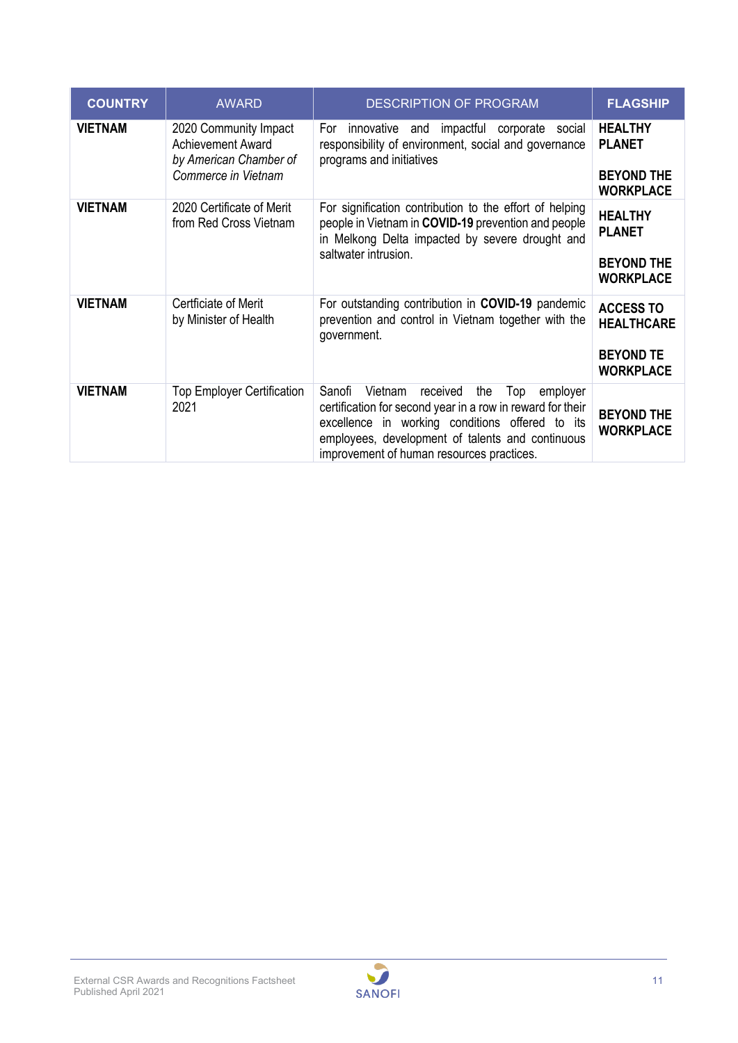| <b>COUNTRY</b> | <b>AWARD</b>                                                                                       | <b>DESCRIPTION OF PROGRAM</b>                                                                                                                                                                                                                                             | <b>FLAGSHIP</b>                                      |
|----------------|----------------------------------------------------------------------------------------------------|---------------------------------------------------------------------------------------------------------------------------------------------------------------------------------------------------------------------------------------------------------------------------|------------------------------------------------------|
| <b>VIETNAM</b> | 2020 Community Impact<br><b>Achievement Award</b><br>by American Chamber of<br>Commerce in Vietnam | For<br>innovative and impactful corporate social<br>responsibility of environment, social and governance<br>programs and initiatives                                                                                                                                      | <b>HEALTHY</b><br><b>PLANET</b><br><b>BEYOND THE</b> |
|                |                                                                                                    |                                                                                                                                                                                                                                                                           | <b>WORKPLACE</b>                                     |
| <b>VIETNAM</b> | 2020 Certificate of Merit<br>from Red Cross Vietnam                                                | For signification contribution to the effort of helping<br>people in Vietnam in COVID-19 prevention and people<br>in Melkong Delta impacted by severe drought and                                                                                                         | <b>HEALTHY</b><br><b>PLANET</b>                      |
|                |                                                                                                    | saltwater intrusion.                                                                                                                                                                                                                                                      | <b>BEYOND THE</b><br><b>WORKPLACE</b>                |
| <b>VIETNAM</b> | Certficiate of Merit<br>by Minister of Health                                                      | For outstanding contribution in COVID-19 pandemic<br>prevention and control in Vietnam together with the<br>government.                                                                                                                                                   | <b>ACCESS TO</b><br><b>HEALTHCARE</b>                |
|                |                                                                                                    |                                                                                                                                                                                                                                                                           | <b>BEYOND TE</b><br><b>WORKPLACE</b>                 |
| <b>VIETNAM</b> | <b>Top Employer Certification</b><br>2021                                                          | Sanofi<br>Vietnam<br>received<br>the<br>Top<br>employer<br>certification for second year in a row in reward for their<br>excellence in working conditions offered to its<br>employees, development of talents and continuous<br>improvement of human resources practices. | <b>BEYOND THE</b><br><b>WORKPLACE</b>                |